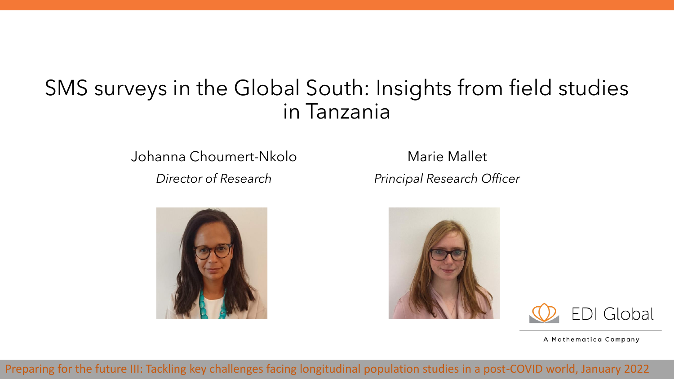#### SMS surveys in the Global South: Insights from field studies in Tanzania

Johanna Choumert-Nkolo Marie Mallet

*Director of Research Principal Research Officer*



**EDI Global** 

A Mathematica Company

Preparing for the future III: Tackling key challenges facing longitudinal population studies in a post-COVID world, January 2022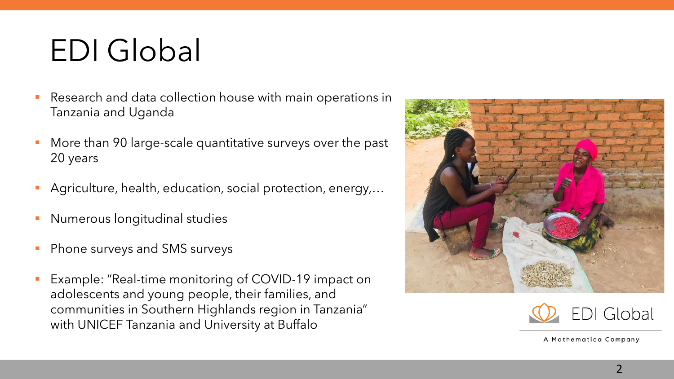# EDI Global

- Research and data collection house with main operations in Tanzania and Uganda
- More than 90 large-scale quantitative surveys over the past 20 years
- Agriculture, health, education, social protection, energy,...
- Numerous longitudinal studies
- Phone surveys and SMS surveys
- Example: "Real-time monitoring of COVID-19 impact on adolescents and young people, their families, and communities in Southern Highlands region in Tanzania" with UNICEF Tanzania and University at Buffalo



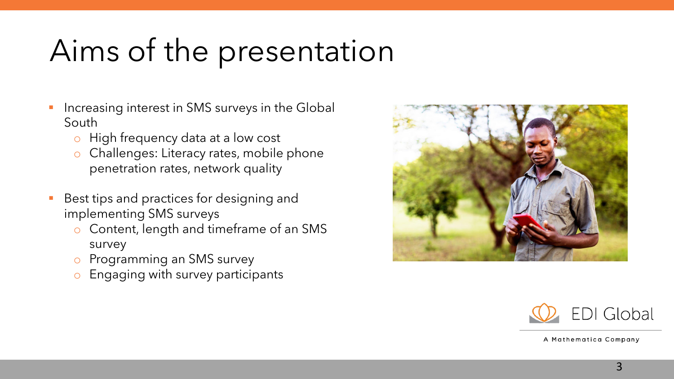## Aims of the presentation

- Increasing interest in SMS surveys in the Global South
	- o High frequency data at a low cost
	- o Challenges: Literacy rates, mobile phone penetration rates, network quality
- Best tips and practices for designing and implementing SMS surveys
	- o Content, length and timeframe of an SMS survey
	- o Programming an SMS survey
	- o Engaging with survey participants



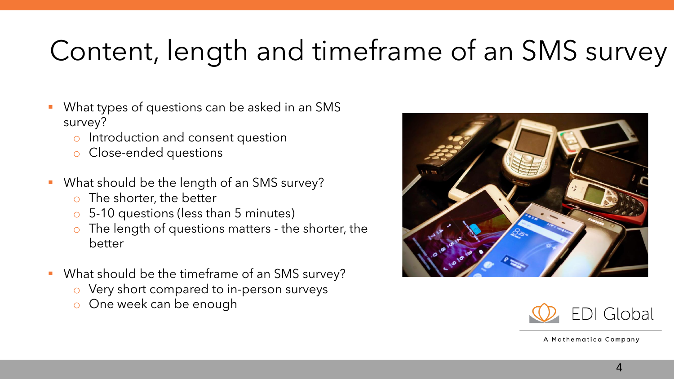### Content, length and timeframe of an SMS survey

- What types of questions can be asked in an SMS survey?
	- o Introduction and consent question
	- o Close-ended questions
- What should be the length of an SMS survey?
	- o The shorter, the better
	- o 5-10 questions (less than 5 minutes)
	- o The length of questions matters the shorter, the better
- What should be the timeframe of an SMS survey?
	- o Very short compared to in-person surveys
	- o One week can be enough





A Mathematica Company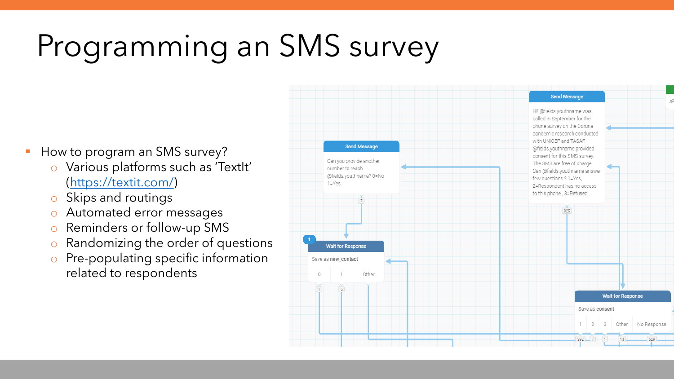## Programming an SMS survey

- How to program an SMS survey?
	- o Various platforms such as 'TextIt' (<https://textit.com/>)
	- o Skips and routings
	- o Automated error messages
	- o Reminders or follow-up SMS
	- o Randomizing the order of questions
	- o Pre-populating specific information related to respondents

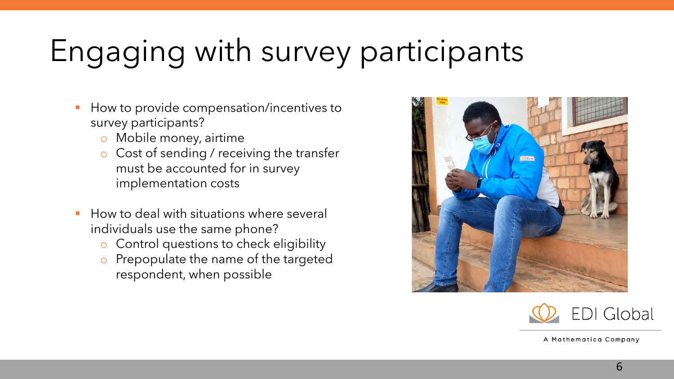# Engaging with survey participants

- How to provide compensation/incentives to survey participants?
	- o Mobile money, airtime
	- o Cost of sending / receiving the transfer must be accounted for in survey implementation costs
- How to deal with situations where several individuals use the same phone?
	- o Control questions to check eligibility
	- o Prepopulate the name of the targeted respondent, when possible